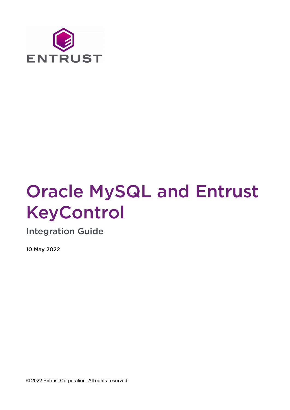

# Oracle MySQL and Entrust KeyControl

Integration Guide

10 May 2022

© 2022 Entrust Corporation. All rights reserved.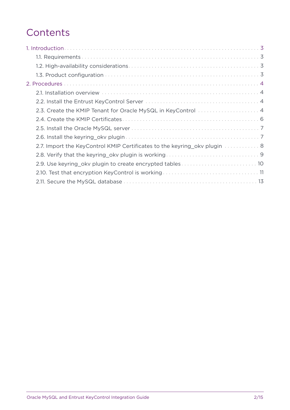## **Contents**

| 2.3. Create the KMIP Tenant for Oracle MySQL in KeyControl  4             |
|---------------------------------------------------------------------------|
|                                                                           |
|                                                                           |
|                                                                           |
| 2.7. Import the KeyControl KMIP Certificates to the keyring oky plugin  8 |
|                                                                           |
| 2.9. Use keyring_okv plugin to create encrypted tables 10                 |
|                                                                           |
|                                                                           |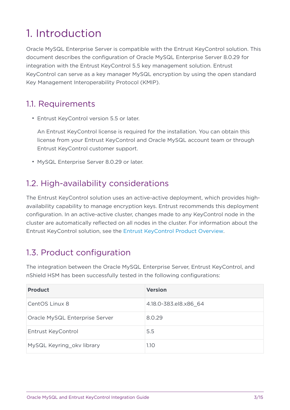# <span id="page-2-0"></span>1. Introduction

Oracle MySQL Enterprise Server is compatible with the Entrust KeyControl solution. This document describes the configuration of Oracle MySQL Enterprise Server 8.0.29 for integration with the Entrust KeyControl 5.5 key management solution. Entrust KeyControl can serve as a key manager MySQL encryption by using the open standard Key Management Interoperability Protocol (KMIP).

#### <span id="page-2-1"></span>1.1. Requirements

• Entrust KeyControl version 5.5 or later.

An Entrust KeyControl license is required for the installation. You can obtain this license from your Entrust KeyControl and Oracle MySQL account team or through Entrust KeyControl customer support.

• MySQL Enterprise Server 8.0.29 or later.

### <span id="page-2-2"></span>1.2. High-availability considerations

The Entrust KeyControl solution uses an active-active deployment, which provides highavailability capability to manage encryption keys. Entrust recommends this deployment configuration. In an active-active cluster, changes made to any KeyControl node in the cluster are automatically reflected on all nodes in the cluster. For information about the Entrust KeyControl solution, see the [Entrust KeyControl Product Overview.](https://docs.hytrust.com/DataControl/5.5/Online/Content/Books/aaCommon/Product-Overview/KeyControl.html)

## <span id="page-2-3"></span>1.3. Product configuration

The integration between the Oracle MySQL Enterprise Server, Entrust KeyControl, and nShield HSM has been successfully tested in the following configurations:

| <b>Product</b>                 | <b>Version</b>        |
|--------------------------------|-----------------------|
| CentOS Linux 8                 | 4.18.0-383.el8.x86 64 |
| Oracle MySQL Enterprise Server | 8.0.29                |
| Entrust KeyControl             | 5.5                   |
| MySQL Keyring okv library      | 1.10                  |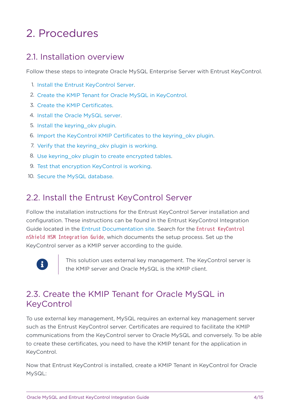# <span id="page-3-0"></span>2. Procedures

#### <span id="page-3-1"></span>21 Installation overview

Follow these steps to integrate Oracle MySQL Enterprise Server with Entrust KeyControl.

- 1. [Install the Entrust KeyControl Server.](#page-3-2)
- 2. [Create the KMIP Tenant for Oracle MySQL in KeyControl.](#page-3-3)
- 3. [Create the KMIP Certificates](#page-5-0).
- 4. [Install the Oracle MySQL server.](#page-6-0)
- 5. [Install the keyring\\_okv plugin](#page-6-1).
- 6. [Import the KeyControl KMIP Certificates to the keyring\\_okv plugin.](#page-7-0)
- 7. [Verify that the keyring\\_okv plugin is working](#page-8-0).
- 8. Use keyring okv plugin to create encrypted tables.
- 9. [Test that encryption KeyControl is working](#page-10-0).
- 10. [Secure the MySQL database.](#page-12-0)

#### <span id="page-3-2"></span>2.2. Install the Entrust KeyControl Server

Follow the installation instructions for the Entrust KeyControl Server installation and configuration. These instructions can be found in the Entrust KeyControl Integration Guide located in the [Entrust Documentation site](https://entrust.com/documentation). Search for the Entrust KeyControl nShield HSM Integration Guide, which documents the setup process. Set up the KeyControl server as a KMIP server according to the guide.



This solution uses external key management. The KeyControl server is the KMIP server and Oracle MySQL is the KMIP client.

## <span id="page-3-3"></span>2.3. Create the KMIP Tenant for Oracle MySQL in KeyControl

To use external key management, MySQL requires an external key management server such as the Entrust KeyControl server. Certificates are required to facilitate the KMIP communications from the KeyControl server to Oracle MySQL and conversely. To be able to create these certificates, you need to have the KMIP tenant for the application in KeyControl.

Now that Entrust KeyControl is installed, create a KMIP Tenant in KeyControl for Oracle MySQL: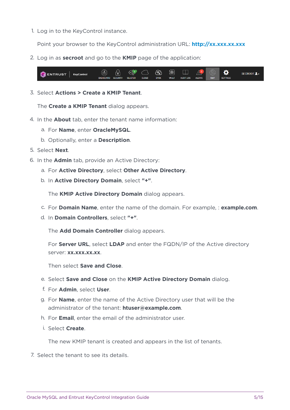1. Log in to the KeyControl instance.

Point your browser to the KeyControl administration URL: **<http://xx.xxx.xx.xxx>** 

2. Log in as **secroot** and go to the **KMIP** page of the application:



3. Select **Actions > Create a KMIP Tenant**.

The **Create a KMIP Tenant** dialog appears.

- 4. In the **About** tab, enter the tenant name information:
	- a. For **Name**, enter **OracleMySQL**.
	- b. Optionally, enter a **Description**.
- 5. Select **Next**.
- 6. In the **Admin** tab, provide an Active Directory:
	- a. For **Active Directory**, select **Other Active Directory**.
	- b. In **Active Directory Domain**, select **"+"**.

The **KMIP Active Directory Domain** dialog appears.

- c. For **Domain Name**, enter the name of the domain. For example, : **example.com**.
- d. In **Domain Controllers**, select **"+"**.

The **Add Domain Controller** dialog appears.

For **Server URL**, select **LDAP** and enter the FQDN/IP of the Active directory server: **xx.xxx.xx.xx**.

Then select **Save and Close**.

- e. Select **Save and Close** on the **KMIP Active Directory Domain** dialog.
- f. For **Admin**, select **User**.
- g. For **Name**, enter the name of the Active Directory user that will be the administrator of the tenant: **htuser@example.com**.
- h. For **Email**, enter the email of the administrator user.
- i. Select **Create**.

The new KMIP tenant is created and appears in the list of tenants.

7. Select the tenant to see its details.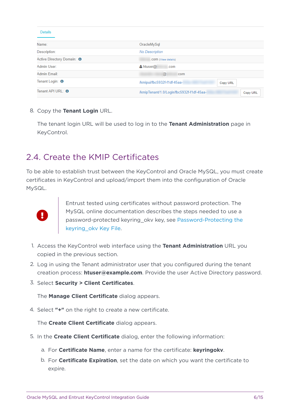| <b>Details</b>                        |                                                       |
|---------------------------------------|-------------------------------------------------------|
| Name:                                 | OracleMySql                                           |
| Description:                          | <b>No Description</b>                                 |
| Active Directory Domain: <sup>6</sup> | .COM (View details)                                   |
| Admin User:                           | $\triangle$ htuser $\omega$<br>.com                   |
| Admin Email:                          | @<br>com                                              |
| Tenant Login: 0                       | /kmipui/fbc5932f-f1df-45aa-<br>Copy URL               |
| Tenant API URL: <b>O</b>              | /kmipTenant/1.0/Login/fbc5932f-f1df-45aa-<br>Copy URL |

8. Copy the **Tenant Login** URL.

The tenant login URL will be used to log in to the **Tenant Administration** page in KeyControl.

#### <span id="page-5-0"></span>2.4. Create the KMIP Certificates

To be able to establish trust between the KeyControl and Oracle MySQL, you must create certificates in KeyControl and upload/import them into the configuration of Oracle MySQL.



Entrust tested using certificates without password protection. The MySQL online documentation describes the steps needed to use a password-protected keyring\_okv key, see [Password-Protecting the](https://dev.mysql.com/doc/mysql-security-excerpt/8.0/en/keyring-okv-plugin.html#keyring-okv-encrypt-key-file) [keyring\\_okv Key File.](https://dev.mysql.com/doc/mysql-security-excerpt/8.0/en/keyring-okv-plugin.html#keyring-okv-encrypt-key-file)

- 1. Access the KeyControl web interface using the **Tenant Administration** URL you copied in the previous section.
- 2. Log in using the Tenant administrator user that you configured during the tenant creation process: **htuser@example.com**. Provide the user Active Directory password.
- 3. Select **Security > Client Certificates**.

The **Manage Client Certificate** dialog appears.

4. Select **"+"** on the right to create a new certificate.

The **Create Client Certificate** dialog appears.

- 5. In the **Create Client Certificate** dialog, enter the following information:
	- a. For **Certificate Name**, enter a name for the certificate: **keyringokv**.
	- b. For **Certificate Expiration**, set the date on which you want the certificate to expire.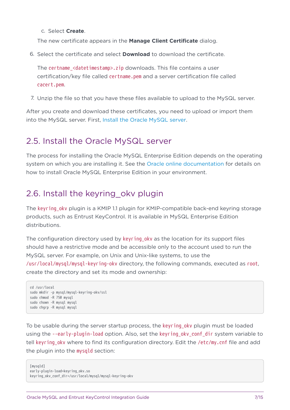c. Select **Create**.

The new certificate appears in the **Manage Client Certificate** dialog.

6. Select the certificate and select **Download** to download the certificate.

The certname <datetimestamp>.zip downloads. This file contains a user certification/key file called certname.pem and a server certification file called cacert.pem.

7. Unzip the file so that you have these files available to upload to the MySQL server.

After you create and download these certificates, you need to upload or import them into the MySQL server. First, [Install the Oracle MySQL server.](#page-6-0)

#### <span id="page-6-0"></span>2.5. Install the Oracle MySQL server

The process for installing the Oracle MySQL Enterprise Edition depends on the operating system on which you are installing it. See the [Oracle online documentation](https://dev.mysql.com/doc/refman/8.0/en/installing.html) for details on how to install Oracle MySQL Enterprise Edition in your environment.

### <span id="page-6-1"></span>2.6. Install the keyring oky plugin

The keyring okv plugin is a KMIP 1.1 plugin for KMIP-compatible back-end keyring storage products, such as Entrust KeyControl. It is available in MySQL Enterprise Edition distributions.

The configuration directory used by keyring oky as the location for its support files should have a restrictive mode and be accessible only to the account used to run the MySQL server. For example, on Unix and Unix-like systems, to use the /usr/local/mysql/mysql-keyring-okv directory, the following commands, executed as root, create the directory and set its mode and ownership:

```
cd /usr/local
sudo mkdir -p mysql/mysql-keyring-okv/ssl
sudo chmod -R 750 mysql
sudo chown -R mysql mysql
sudo chgrp -R mysql mysql
```
To be usable during the server startup process, the keyring\_okv plugin must be loaded using the --early-plugin-load option. Also, set the keyring oky conf dir system variable to tell keyring\_okv where to find its configuration directory. Edit the /etc/my.cnf file and add the plugin into the mysqld section:

[mysqld] early-plugin-load=keyring\_okv.so keyring\_okv\_conf\_dir=/usr/local/mysql/mysql-keyring-okv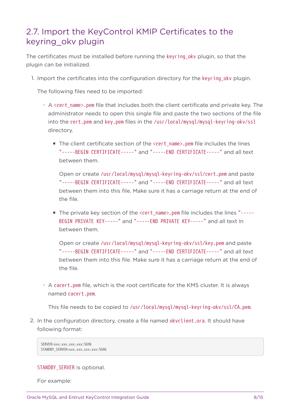### <span id="page-7-0"></span>2.7. Import the KeyControl KMIP Certificates to the keyring\_okv plugin

The certificates must be installed before running the keyring\_okv plugin, so that the plugin can be initialized.

1. Import the certificates into the configuration directory for the keyring\_okv plugin.

The following files need to be imported:

- A <cert\_name>.pem file that includes both the client certificate and private key. The administrator needs to open this single file and paste the two sections of the file into the cert.pem and key.pem files in the /usr/local/mysql/mysql-keyring-okv/ssl directory.
	- The client certificate section of the <cert\_name>.pem file includes the lines "-----BEGIN CERTIFICATE-----" and "-----END CERTIFICATE-----" and all text between them.

Open or create /usr/local/mysql/mysql-keyring-okv/ssl/cert.pem and paste "-----BEGIN CERTIFICATE-----" and "-----END CERTIFICATE-----" and all text between them into this file. Make sure it has a carriage return at the end of the file.

■ The private key section of the <cert\_name>.pem file includes the lines "-----BEGIN PRIVATE KEY-----" and "-----END PRIVATE KEY-----" and all text in between them.

Open or create /usr/local/mysql/mysql-keyring-okv/ssl/key.pem and paste "-----BEGIN CERTIFICATE-----" and "-----END CERTIFICATE-----" and all text between them into this file. Make sure it has a carriage return at the end of the file.

◦ A cacert.pem file, which is the root certificate for the KMS cluster. It is always named cacert.pem.

This file needs to be copied to /usr/local/mysql/mysql-keyring-okv/ssl/CA.pem.

2. In the configuration directory, create a file named okvclient.ora. It should have following format:

```
SERVER=xxx.xxx.xxx.xxx:5696
STANDBY_SERVER=xxx.xxx.xxx.xxx:5696
```
#### STANDBY SERVER is optional.

For example: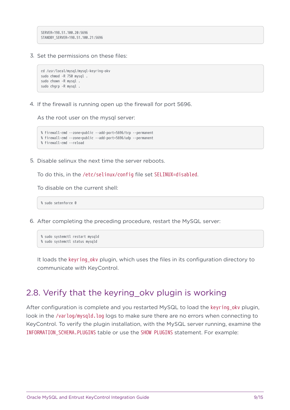SERVER=198.51.100.20:5696 STANDBY\_SERVER=198.51.100.21:5696

3. Set the permissions on these files:

```
cd /usr/local/mysql/mysql-keyring-okv
sudo chmod -R 750 mysql .
sudo chown -R mysql .
sudo chgrp -R mysql .
```
4. If the firewall is running open up the firewall for port 5696.

As the root user on the mysql server:

```
% firewall-cmd --zone=public --add-port=5696/tcp --permanent
% firewall-cmd --zone=public --add-port=5696/udp --permanent
% firewall-cmd --reload
```
5. Disable selinux the next time the server reboots.

To do this, in the /etc/selinux/config file set SELINUX=disabled.

To disable on the current shell:

% sudo setenforce 0

6. After completing the preceding procedure, restart the MySQL server:

```
% sudo systemctl restart mysqld
% sudo systemctl status mysqld
```
It loads the keyring oky plugin, which uses the files in its configuration directory to communicate with KeyControl.

#### <span id="page-8-0"></span>2.8. Verify that the keyring okv plugin is working

After configuration is complete and you restarted MySQL to load the keyring oky plugin, look in the /varlog/mysqld.log logs to make sure there are no errors when connecting to KeyControl. To verify the plugin installation, with the MySQL server running, examine the INFORMATION\_SCHEMA.PLUGINS table or use the SHOW PLUGINS statement. For example: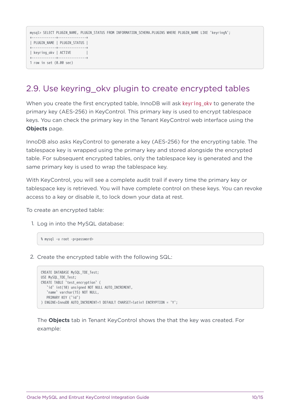mysql> SELECT PLUGIN NAME, PLUGIN STATUS FROM INFORMATION SCHEMA.PLUGINS WHERE PLUGIN NAME LIKE 'keyring%'; +-------------+---------------+ | PLUGIN\_NAME | PLUGIN\_STATUS | +-------------+---------------+ | keyring\_okv | ACTIVE | +-------------+---------------+ 1 row in set (0.00 sec)

## <span id="page-9-0"></span>2.9. Use keyring\_okv plugin to create encrypted tables

When you create the first encrypted table, InnoDB will ask keyring\_okv to generate the primary key (AES-256) in KeyControl. This primary key is used to encrypt tablespace keys. You can check the primary key in the Tenant KeyControl web interface using the **Objects** page.

InnoDB also asks KeyControl to generate a key (AES-256) for the encrypting table. The tablespace key is wrapped using the primary key and stored alongside the encrypted table. For subsequent encrypted tables, only the tablespace key is generated and the same primary key is used to wrap the tablespace key.

With KeyControl, you will see a complete audit trail if every time the primary key or tablespace key is retrieved. You will have complete control on these keys. You can revoke access to a key or disable it, to lock down your data at rest.

To create an encrypted table:

1. Log in into the MySQL database:

% mysql -u root -p<password>

2. Create the encrypted table with the following SQL:

```
CREATE DATABASE MySQL_TDE_Test;
USE MySQL_TDE_Test;
CREATE TABLE `test_encryption` (
     `id` int(10) unsigned NOT NULL AUTO_INCREMENT,
     `name` varchar(15) NOT NULL,
   PRIMARY KEY ('id')
) ENGINE=InnoDB AUTO_INCREMENT=1 DEFAULT CHARSET=latin1 ENCRYPTION = 'Y';
```
The **Objects** tab in Tenant KeyControl shows the that the key was created. For example: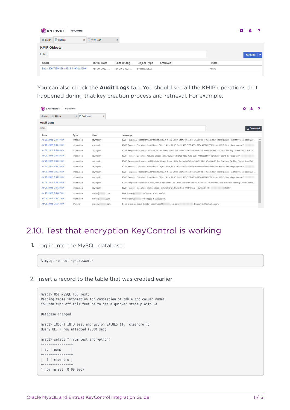| ENTRUST<br>KeyControl                                                                            |                | ּ |  |
|--------------------------------------------------------------------------------------------------|----------------|---|--|
| <b>x a</b> Audit Logs<br><b>Objects</b><br>KMIP<br>$\mathbf{x}$                                  |                |   |  |
| <b>KMIP Objects</b>                                                                              |                |   |  |
| Filter                                                                                           | <b>Actions</b> |   |  |
| UUID<br><b>Initial Date</b><br>Last Chang<br>Object Type<br>Archived<br>State                    |                |   |  |
| 9ad1c406-7d59-426a-9984-419f3dd59b9f<br>Apr 29, 2022,<br>Apr 29, 2022,<br>SymmetricKey<br>Active |                |   |  |

You can also check the **Audit Logs** tab. You should see all the KMIP operations that happened during that key creation process and retrieval. For example:

| <b>ENTRUST</b>                | KeyControl                         |                 |                                                                                                                                           |
|-------------------------------|------------------------------------|-----------------|-------------------------------------------------------------------------------------------------------------------------------------------|
| <b>Objects</b><br><b>KMIP</b> | <b>B</b> Audit Logs<br>$\mathbf x$ | $\chi$          |                                                                                                                                           |
| <b>Audit Logs</b>             |                                    |                 |                                                                                                                                           |
| Filter                        |                                    |                 | 山 Download                                                                                                                                |
| Time                          | Type                               | User            | Message                                                                                                                                   |
| Apr 29, 2022, 9:46:40 AM      | Information                        | keyringoky      | KMIP Response - Operation: AddAttribute, Object: None, UUID: 9ad1c406-7d59-426a-9984-419f3dd59b9f, Res: Success, ResMsq: "None" from KMI  |
| Apr 29, 2022, 9:46:40 AM      | Information                        | kevringokv      | KMIP Request - Operation: AddAttribute, Object: None, UUID: 9ad1c406-7d59-426a-9984-419f3dd59b9f from KMIP Client - keyringoky (IP:       |
| Apr 29, 2022, 9:46:40 AM      | Information                        | keyringokv      | KMIP Response - Operation: Activate, Object: None, UUID: 9ad1c406-7d59-426a-9984-419f3dd59b9f, Res: Success, ResMsg: "None" from KMIP Cli |
| Apr 29, 2022, 9:46:40 AM      | Information                        | keyringokv      | KMIP Request - Operation: Activate, Object: None, UUID: 9ad1c406-7d59-426a-9984-419f3dd59b9f from KMIP Client - keyringoky (IP:           |
| Apr 29, 2022, 9:46:39 AM      | Information                        | keyringoky      | KMIP Response - Operation: AddAttribute, Object: None, UUID: 9ad1c406-7d59-426a-9984-419f3dd59b9f, Res: Success, ResMsq: "None" from KMI  |
| Apr 29, 2022, 9:46:39 AM      | Information                        | kevringokv      | KMIP Request - Operation: AddAttribute, Object: None, UUID: 9ad1c406-7d59-426a-9984-419f3dd59b9f from KMIP Client - keyringoky (IP:       |
| Apr 29, 2022, 9:46:39 AM      | Information                        | keyringokv      | KMIP Response - Operation: AddAttribute, Object: None, UUID: 9ad1c406-7d59-426a-9984-419f3dd59b9f, Res: Success, ResMsg: "None" from KMI  |
| Apr 29, 2022, 9:46:39 AM      | Information                        | keyringoky      | KMIP Request - Operation: AddAttribute, Object: None, UUID: 9ad1c406-7d59-426a-9984-419f3dd59b9f from KMIP Client - keyringoky (IP:       |
| Apr 29, 2022, 9:46:39 AM      | Information                        | keyringoky      | KMIP Response - Operation: Create, Object: SymmetricKey, UUID: 9ad1c406-7d59-426a-9984-419f3dd59b9f, Res: Success, ResMsq: "None" from K  |
| Apr 29, 2022, 9:46:39 AM      | Information                        | keyringokv      | KMIP Request - Operation: Create, Object: SymmetricKey, UUID: from KMIP Client - keyringoky (IP:<br>(47650)                               |
| Apr 29, 2022, 9:43:07 AM      | Information                        | htuser@<br>com  | User 'htuser@<br>.com' logged in successfully.                                                                                            |
| Apr 28, 2022, 3:56:21 PM      | Information                        | htuser@<br>com  | User 'htuser@<br>.com' logged in successfully.                                                                                            |
| Apr 28, 2022, 3:56:12 PM      | Warning                            | htuser@<br>.com | Login failure for Active Directory user htuser@<br>Reason: Authentication error<br>.com from                                              |

## <span id="page-10-0"></span>2.10. Test that encryption KeyControl is working

1. Log in into the MySQL database:

% mysql -u root -p<password>

2. Insert a record to the table that was created earlier:

```
mysql> USE MySQL_TDE_Test;
Reading table information for completion of table and column names
You can turn off this feature to get a quicker startup with -A
Database changed
mysql> INSERT INTO test_encryption VALUES (1, 'cleandro');
Query OK, 1 row affected (0.00 sec)
mysql> select * from test_encryption;
+----+----------+
| id | name |
+----+----------+
| 1 | cleandro |
+----+----------+
1 row in set (0.00 sec)
```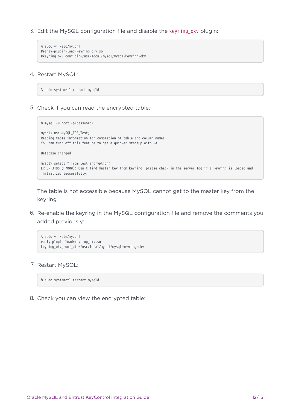3. Edit the MySQL configuration file and disable the keyring\_okv plugin:

```
% sudo vi /etc/my.cnf
#early-plugin-load=keyring_okv.so
#keyring_okv_conf_dir=/usr/local/mysql/mysql-keyring-okv
```
4. Restart MySQL:

% sudo systemctl restart mysqld

5. Check if you can read the encrypted table:

```
% mysql -u root -p<password>
mysql> use MySQL_TDE_Test;
Reading table information for completion of table and column names
You can turn off this feature to get a quicker startup with -A
Database changed
mysql> select * from test_encryption;
ERROR 3185 (HY000): Can't find master key from keyring, please check in the server log if a keyring is loaded and
initialized successfully.
```
The table is not accessible because MySQL cannot get to the master key from the keyring.

6. Re-enable the keyring in the MySQL configuration file and remove the comments you added previously:

```
% sudo vi /etc/my.cnf
early-plugin-load=keyring_okv.so
keyring_okv_conf_dir=/usr/local/mysql/mysql-keyring-okv
```
7. Restart MySQL:

% sudo systemctl restart mysqld

8. Check you can view the encrypted table: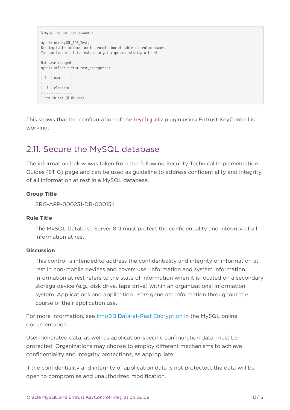```
% mysql -u root -p<password>
mysql> use MySQL_TDE_Test;
Reading table information for completion of table and column names
You can turn off this feature to get a quicker startup with -A
Database changed
mysql> select * from test_encryption;
+----+----------+
\parallel id \parallel name \parallel+----+----------+
| 1 | cleandro |
+----+----------+
1 row in set (0.00 sec)
```
This shows that the configuration of the keyring\_okv plugin using Entrust KeyControl is working.

#### <span id="page-12-0"></span>2.11. Secure the MySQL database

The information below was taken from the following Security Technical Implementation Guides (STIG) page and can be used as guideline to address confidentiality and integrity of all information at rest in a MySQL database.

#### **Group Title**

SRG-APP-000231-DB-000154

#### **Rule Title**

The MySQL Database Server 8.0 must protect the confidentiality and integrity of all information at rest.

#### **Discussion**

This control is intended to address the confidentiality and integrity of information at rest in non-mobile devices and covers user information and system information. Information at rest refers to the state of information when it is located on a secondary storage device (e.g., disk drive, tape drive) within an organizational information system. Applications and application users generate information throughout the course of their application use.

For more information, see [InnoDB Data-at-Rest Encryption](https://dev.mysql.com/doc/refman/8.0/en/innodb-data-encryption.html) in the MySQL online documentation.

User-generated data, as well as application-specific configuration data, must be protected. Organizations may choose to employ different mechanisms to achieve confidentiality and integrity protections, as appropriate.

If the confidentiality and integrity of application data is not protected, the data will be open to compromise and unauthorized modification.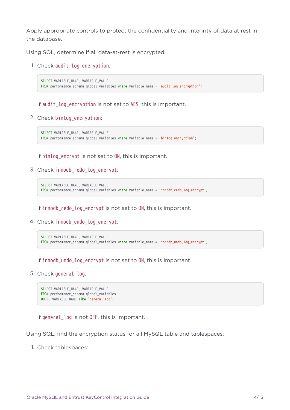Apply appropriate controls to protect the confidentiality and integrity of data at rest in the database.

Using SQL, determine if all data-at-rest is encrypted:

1. Check audit\_log\_encryption:

```
SELECT VARIABLE NAME, VARIABLE VALUE
FROM performance_schema.global_variables where variable_name = 'audit_log_encryption';
```
If audit log encryption is not set to AES, this is important.

2. Check binlog\_encryption:

```
SELECT VARIABLE_NAME, VARIABLE VALUE
FROM performance_schema.global_variables where variable_name = 'binlog_encryption';
```
If binlog\_encrypt is not set to ON, this is important.

3. Check innodb\_redo\_log\_encrypt:

```
SELECT VARIABLE_NAME, VARIABLE_VALUE
FROM performance_schema.global_variables where variable_name = 'innodb_redo_log_encrypt';
```
If innodb\_redo\_log\_encrypt is not set to ON, this is important.

4. Check innodb undo log encrypt:

```
SELECT VARIABLE_NAME, VARIABLE_VALUE
FROM performance_schema.global_variables where variable_name = 'innodb_undo_log_encrypt';
```
If innodb\_undo\_log\_encrypt is not set to ON, this is important.

5. Check general\_log:

```
SELECT VARIABLE_NAME, VARIABLE_VALUE
FROM performance_schema.global_variables
WHERE VARIABLE_NAME like 'general_log';
```
If general log is not OFF, this is important.

Using SQL, find the encryption status for all MySQL table and tablespaces:

1. Check tablespaces: